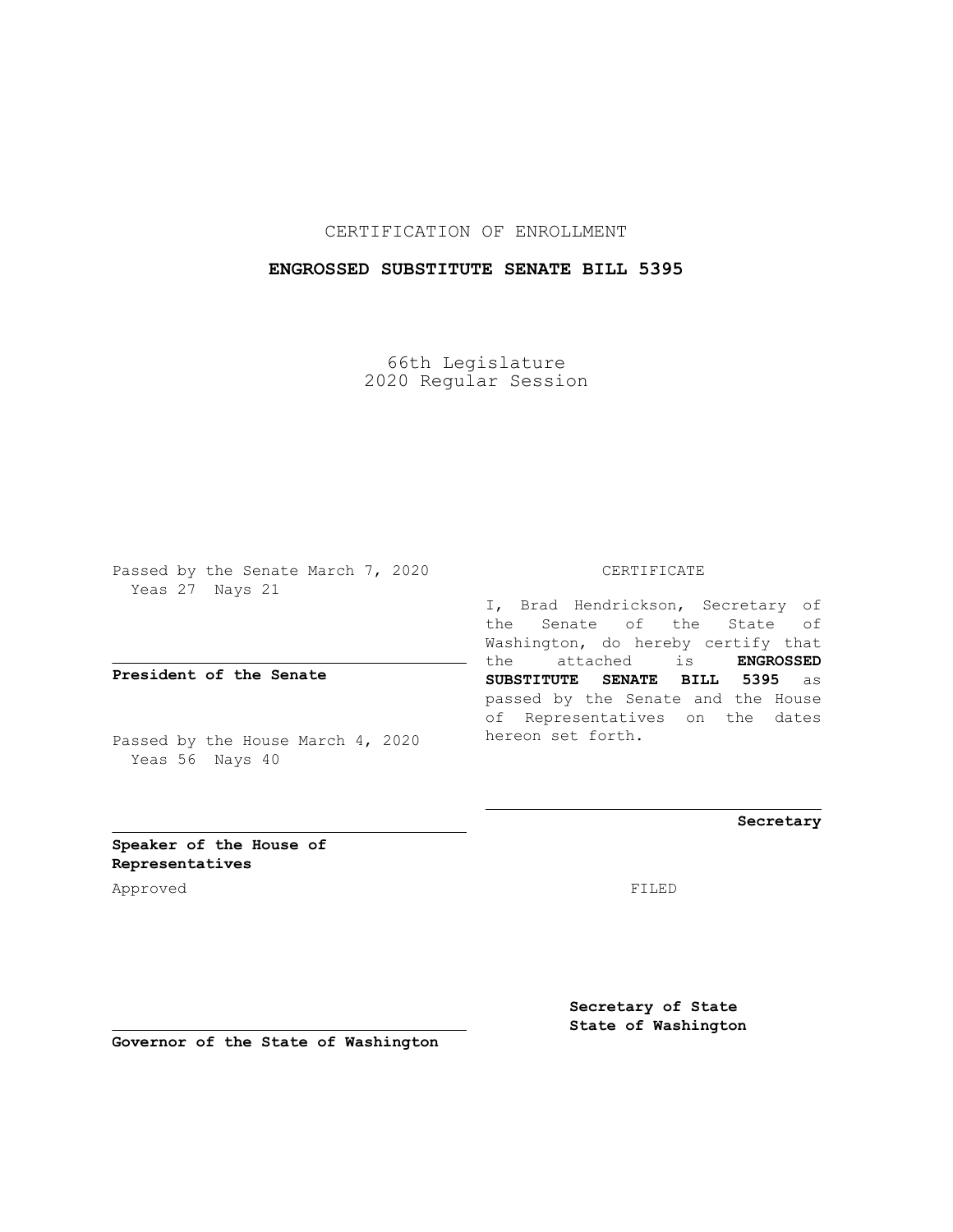CERTIFICATION OF ENROLLMENT

## **ENGROSSED SUBSTITUTE SENATE BILL 5395**

66th Legislature 2020 Regular Session

Passed by the Senate March 7, 2020 Yeas 27 Nays 21

**President of the Senate**

Passed by the House March 4, 2020 Yeas 56 Nays 40

CERTIFICATE

I, Brad Hendrickson, Secretary of the Senate of the State of Washington, do hereby certify that the attached is **ENGROSSED SUBSTITUTE SENATE BILL 5395** as passed by the Senate and the House of Representatives on the dates hereon set forth.

**Secretary**

**Speaker of the House of Representatives**

Approved FILED

**Secretary of State State of Washington**

**Governor of the State of Washington**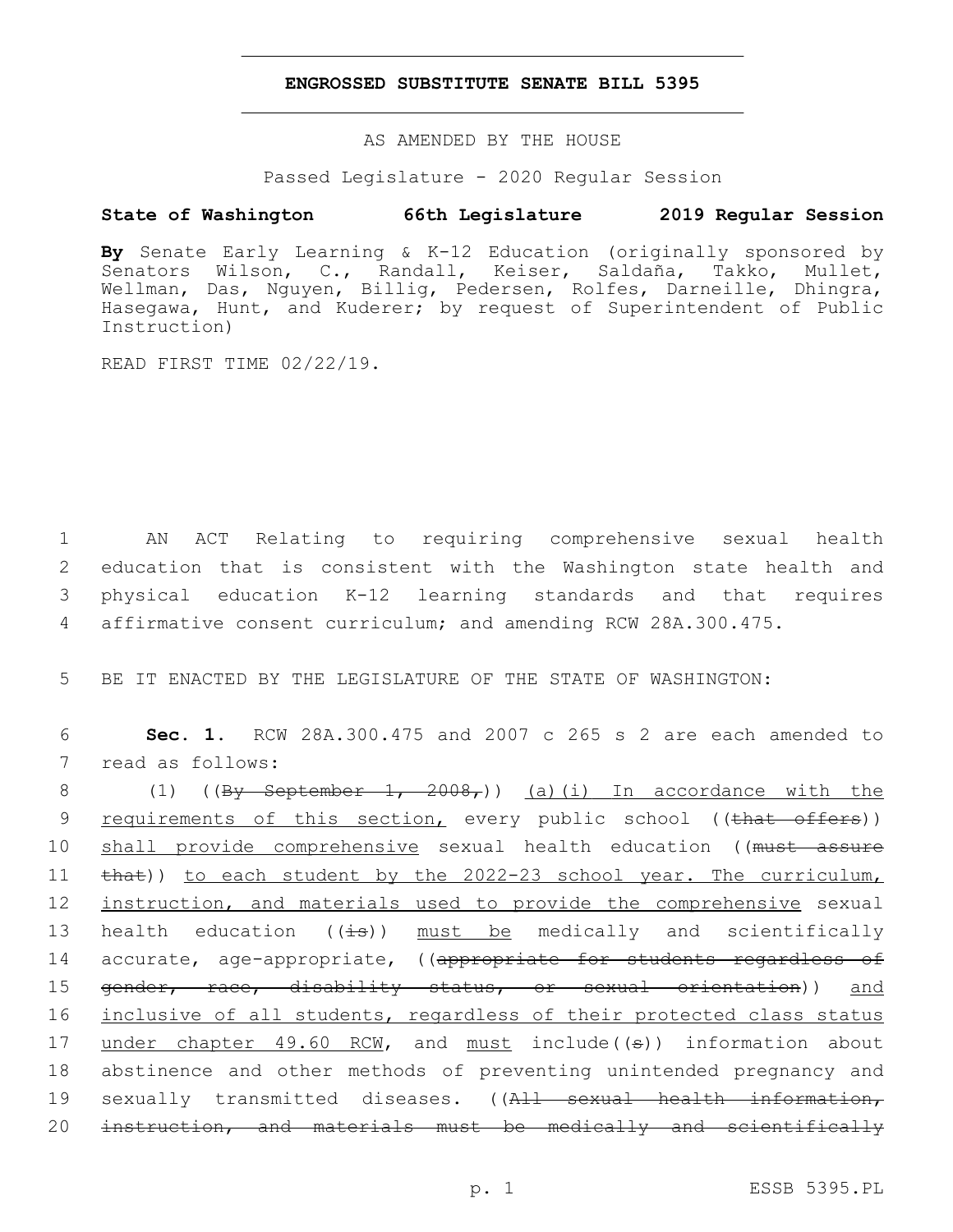## **ENGROSSED SUBSTITUTE SENATE BILL 5395**

AS AMENDED BY THE HOUSE

Passed Legislature - 2020 Regular Session

## **State of Washington 66th Legislature 2019 Regular Session**

**By** Senate Early Learning & K-12 Education (originally sponsored by Senators Wilson, C., Randall, Keiser, Saldaña, Takko, Mullet, Wellman, Das, Nguyen, Billig, Pedersen, Rolfes, Darneille, Dhingra, Hasegawa, Hunt, and Kuderer; by request of Superintendent of Public Instruction)

READ FIRST TIME 02/22/19.

 AN ACT Relating to requiring comprehensive sexual health education that is consistent with the Washington state health and physical education K-12 learning standards and that requires affirmative consent curriculum; and amending RCW 28A.300.475.

5 BE IT ENACTED BY THE LEGISLATURE OF THE STATE OF WASHINGTON:

6 **Sec. 1.** RCW 28A.300.475 and 2007 c 265 s 2 are each amended to 7 read as follows:

8 (1) ( $(\frac{By \text{ September } 1, 2008,}{9})$  (a)(i) In accordance with the 9 <u>requirements of this section,</u> every public school ((that offers)) 10 shall provide comprehensive sexual health education ((must assure 11  $\text{that}$ ) to each student by the 2022-23 school year. The curriculum, 12 instruction, and materials used to provide the comprehensive sexual 13 health education  $((\pm s))$  must be medically and scientifically 14 accurate, age-appropriate, ((appropriate for students regardless of 15 gender, race, disability status, or sexual orientation)) and 16 inclusive of all students, regardless of their protected class status 17 under chapter 49.60 RCM, and must include((s)) information about 18 abstinence and other methods of preventing unintended pregnancy and 19 sexually transmitted diseases. ((All sexual health information, 20 instruction, and materials must be medically and scientifically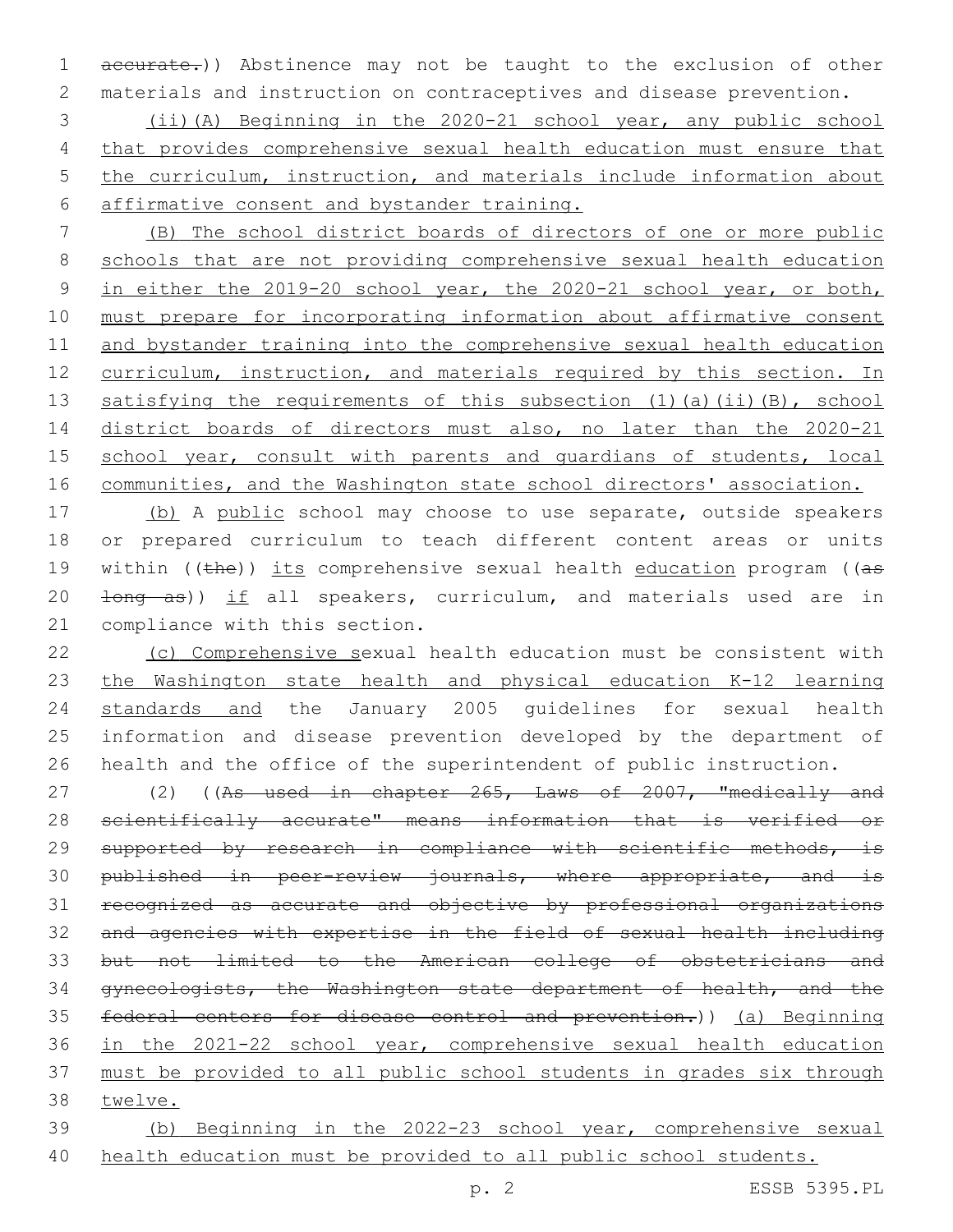accurate.)) Abstinence may not be taught to the exclusion of other materials and instruction on contraceptives and disease prevention.

 (ii)(A) Beginning in the 2020-21 school year, any public school that provides comprehensive sexual health education must ensure that 5 the curriculum, instruction, and materials include information about affirmative consent and bystander training.

 (B) The school district boards of directors of one or more public schools that are not providing comprehensive sexual health education in either the 2019-20 school year, the 2020-21 school year, or both, must prepare for incorporating information about affirmative consent 11 and bystander training into the comprehensive sexual health education 12 curriculum, instruction, and materials required by this section. In satisfying the requirements of this subsection (1)(a)(ii)(B), school district boards of directors must also, no later than the 2020-21 15 school year, consult with parents and quardians of students, local communities, and the Washington state school directors' association.

17 (b) A public school may choose to use separate, outside speakers or prepared curriculum to teach different content areas or units 19 within ((the)) its comprehensive sexual health education program ((as 20  $\pm$ ong as)) if all speakers, curriculum, and materials used are in 21 compliance with this section.

 (c) Comprehensive sexual health education must be consistent with the Washington state health and physical education K-12 learning standards and the January 2005 guidelines for sexual health information and disease prevention developed by the department of health and the office of the superintendent of public instruction.

27 (2) ((As used in chapter 265, Laws of 2007, "medically and scientifically accurate" means information that is verified or 29 supported by research in compliance with scientific methods, is 30 published in peer-review journals, where appropriate, and is recognized as accurate and objective by professional organizations and agencies with expertise in the field of sexual health including but not limited to the American college of obstetricians and gynecologists, the Washington state department of health, and the federal centers for disease control and prevention.)) (a) Beginning in the 2021-22 school year, comprehensive sexual health education must be provided to all public school students in grades six through twelve.

 (b) Beginning in the 2022-23 school year, comprehensive sexual health education must be provided to all public school students.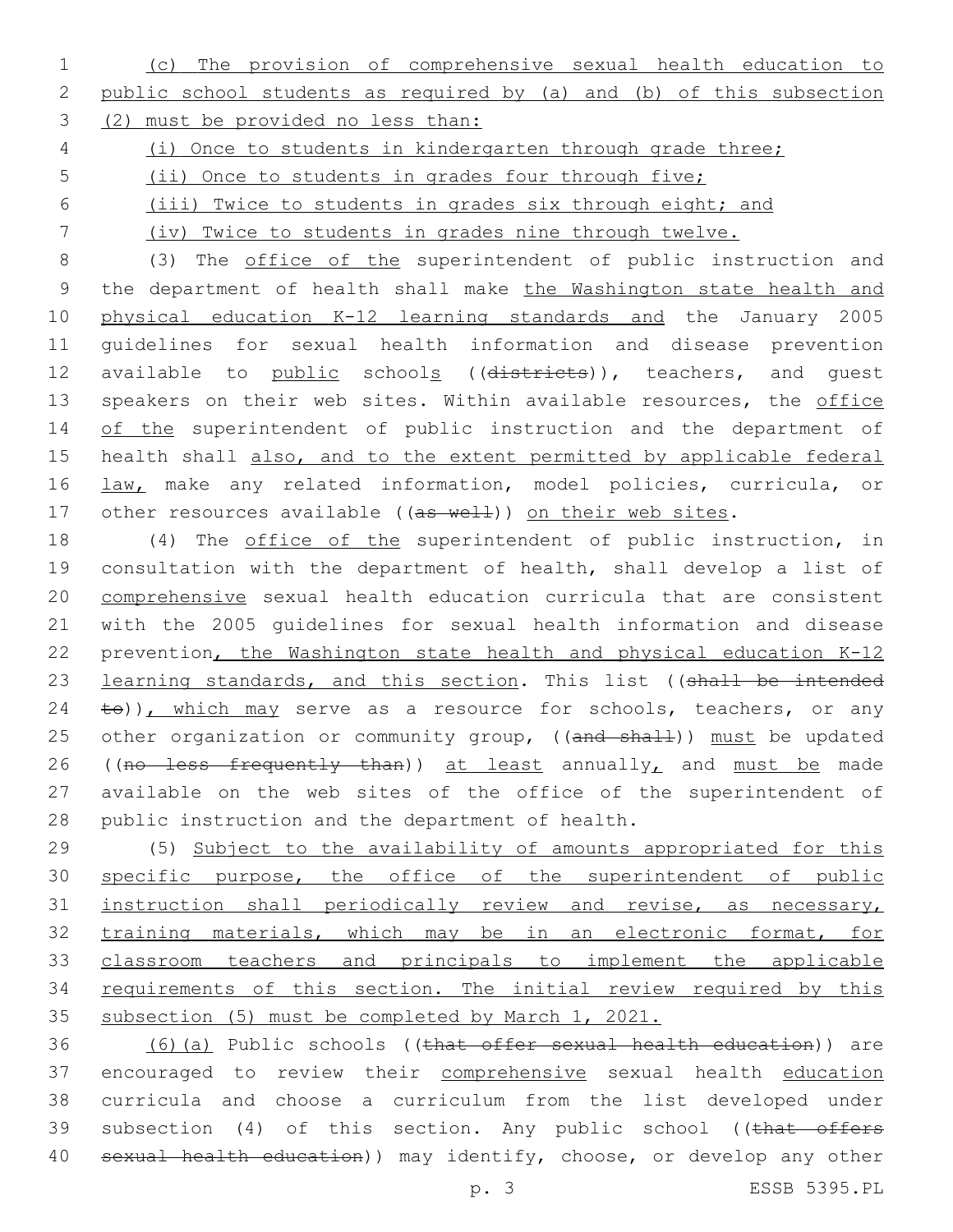1 (c) The provision of comprehensive sexual health education to 2 public school students as required by (a) and (b) of this subsection 3 (2) must be provided no less than:

4 (i) Once to students in kindergarten through grade three;

5 (ii) Once to students in grades four through five;

6 (iii) Twice to students in grades six through eight; and

7 (iv) Twice to students in grades nine through twelve.

8 (3) The office of the superintendent of public instruction and 9 the department of health shall make the Washington state health and 10 physical education K-12 learning standards and the January 2005 11 guidelines for sexual health information and disease prevention 12 available to public schools ((districts)), teachers, and quest 13 speakers on their web sites. Within available resources, the office 14 of the superintendent of public instruction and the department of 15 health shall also, and to the extent permitted by applicable federal 16 law, make any related information, model policies, curricula, or 17 other resources available ((as well)) on their web sites.

18 (4) The office of the superintendent of public instruction, in 19 consultation with the department of health, shall develop a list of 20 comprehensive sexual health education curricula that are consistent 21 with the 2005 guidelines for sexual health information and disease 22 prevention, the Washington state health and physical education K-12 23 learning standards, and this section. This list ((shall be intended  $24$  to)), which may serve as a resource for schools, teachers, or any 25 other organization or community group, ((and shall)) must be updated 26 ((no less frequently than)) at least annually, and must be made 27 available on the web sites of the office of the superintendent of 28 public instruction and the department of health.

 (5) Subject to the availability of amounts appropriated for this 30 specific purpose, the office of the superintendent of public instruction shall periodically review and revise, as necessary, training materials, which may be in an electronic format, for classroom teachers and principals to implement the applicable 34 requirements of this section. The initial review required by this subsection (5) must be completed by March 1, 2021.

36 (6)(a) Public schools ((that offer sexual health education)) are 37 encouraged to review their comprehensive sexual health education 38 curricula and choose a curriculum from the list developed under 39 subsection (4) of this section. Any public school ((that offers 40 sexual health education)) may identify, choose, or develop any other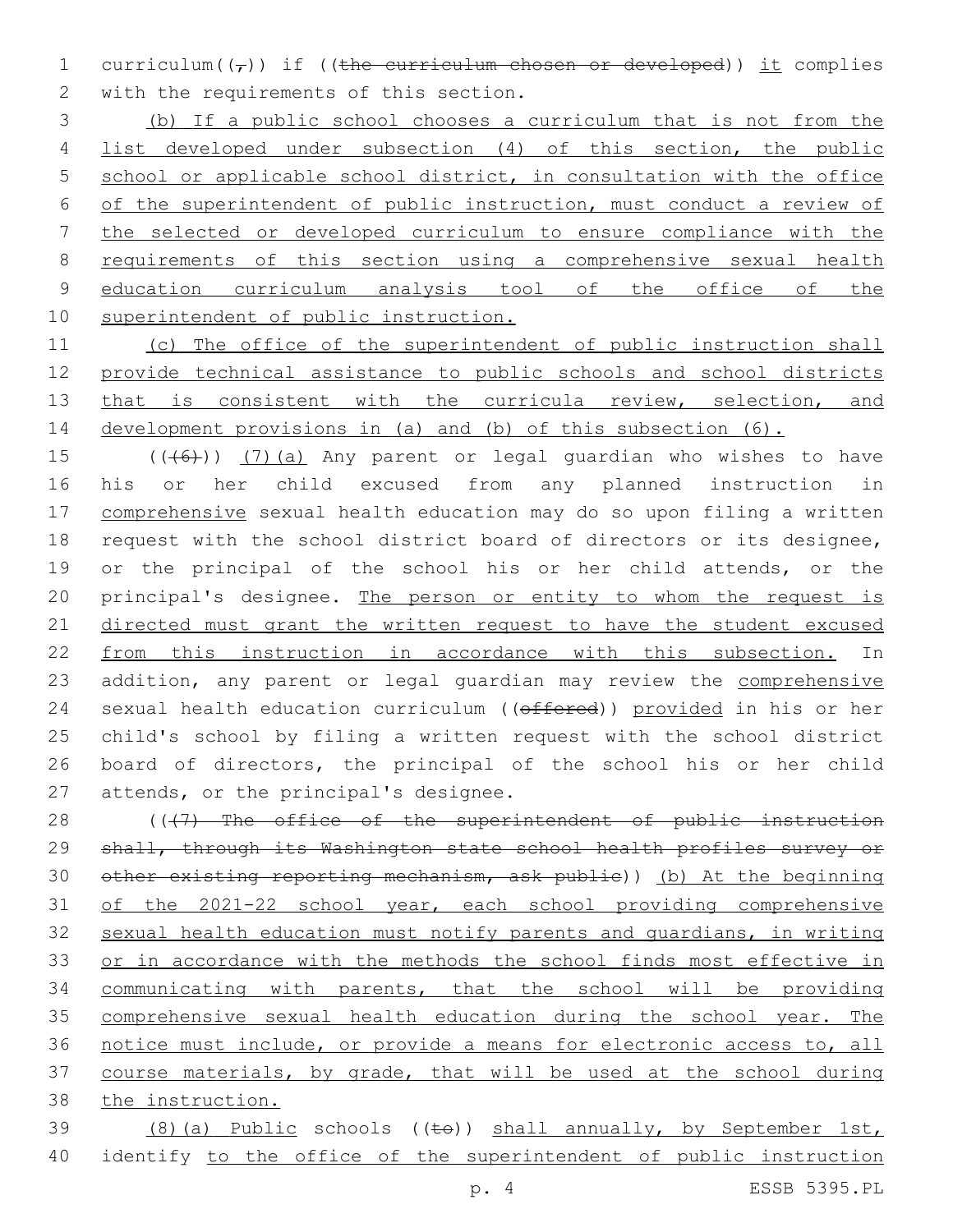1 curriculum( $(\tau)$ ) if ((the curriculum chosen or developed)) it complies 2 with the requirements of this section.

 (b) If a public school chooses a curriculum that is not from the list developed under subsection (4) of this section, the public school or applicable school district, in consultation with the office of the superintendent of public instruction, must conduct a review of the selected or developed curriculum to ensure compliance with the requirements of this section using a comprehensive sexual health education curriculum analysis tool of the office of the superintendent of public instruction.

 (c) The office of the superintendent of public instruction shall provide technical assistance to public schools and school districts 13 that is consistent with the curricula review, selection, and development provisions in (a) and (b) of this subsection (6).

 $((+6+))$  (7)(a) Any parent or legal guardian who wishes to have his or her child excused from any planned instruction in comprehensive sexual health education may do so upon filing a written request with the school district board of directors or its designee, or the principal of the school his or her child attends, or the 20 principal's designee. The person or entity to whom the request is directed must grant the written request to have the student excused from this instruction in accordance with this subsection. In 23 addition, any parent or legal guardian may review the comprehensive 24 sexual health education curriculum ((offered)) provided in his or her child's school by filing a written request with the school district board of directors, the principal of the school his or her child 27 attends, or the principal's designee.

28 ((+7) The office of the superintendent of public instruction 29 shall, through its Washington state school health profiles survey or other existing reporting mechanism, ask public)) (b) At the beginning of the 2021-22 school year, each school providing comprehensive sexual health education must notify parents and guardians, in writing or in accordance with the methods the school finds most effective in communicating with parents, that the school will be providing comprehensive sexual health education during the school year. The notice must include, or provide a means for electronic access to, all course materials, by grade, that will be used at the school during the instruction.

 (8)(a) Public schools ((to)) shall annually, by September 1st, identify to the office of the superintendent of public instruction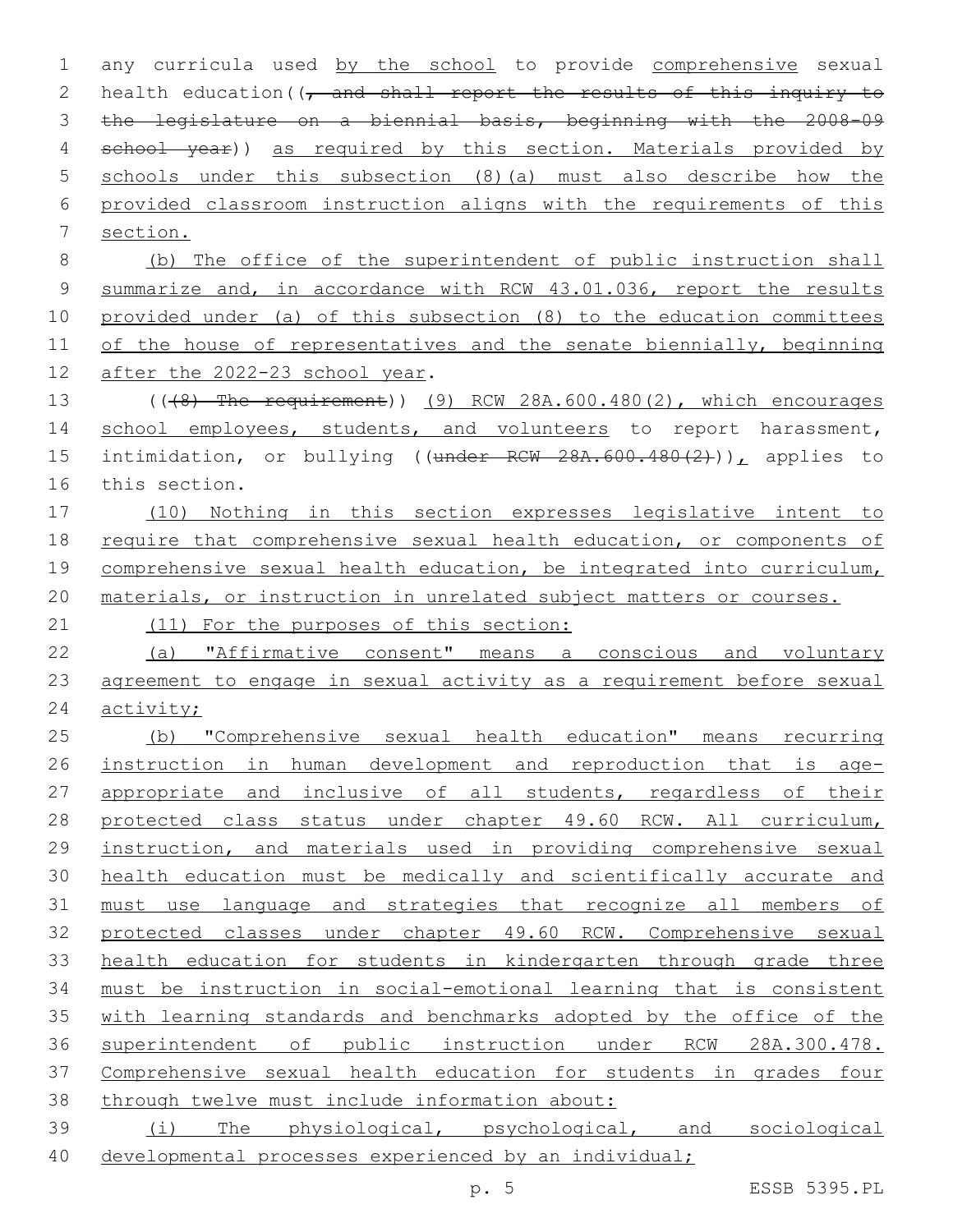| $\mathbf 1$    | any curricula used by the school to provide comprehensive sexual              |
|----------------|-------------------------------------------------------------------------------|
| 2              | health education ( $\sqrt{7}$ and shall report the results of this inquiry to |
| 3              | the legislature on a biennial basis, beginning with the 2008-09               |
| 4              | school year)) as required by this section. Materials provided by              |
| 5              | schools under this subsection (8) (a) must also describe how the              |
| 6              | provided classroom instruction aligns with the requirements of this           |
| 7              | section.                                                                      |
| 8              | (b) The office of the superintendent of public instruction shall              |
| $\overline{9}$ | summarize and, in accordance with RCW 43.01.036, report the results           |
| 10             | provided under (a) of this subsection (8) to the education committees         |
| 11             | of the house of representatives and the senate biennially, beginning          |
| 12             | after the 2022-23 school year.                                                |
| 13             | $((48)$ The requirement)) $(9)$ RCW 28A.600.480(2), which encourages          |
| 14             | school employees, students, and volunteers to report harassment,              |
| 15             | intimidation, or bullying ((under RCW 28A.600.480(2))), applies to            |
| 16             | this section.                                                                 |
| 17             | (10) Nothing in this section expresses legislative intent to                  |
| 18             | require that comprehensive sexual health education, or components of          |
| 19             | comprehensive sexual health education, be integrated into curriculum,         |
| 20             | materials, or instruction in unrelated subject matters or courses.            |
| 21             | (11) For the purposes of this section:                                        |
| 22             | (a) "Affirmative consent" means a conscious and voluntary                     |
| 23             | agreement to engage in sexual activity as a requirement before sexual         |
| 24             | activity;                                                                     |
| 25             | (b) "Comprehensive sexual health education" means recurring                   |
| 26             | instruction in human development and reproduction that is age-                |
| 27             | appropriate and inclusive of all students, regardless of their                |
| 28             | protected class status under chapter 49.60 RCW. All curriculum,               |
| 29             | instruction, and materials used in providing comprehensive sexual             |
| 30             | health education must be medically and scientifically accurate and            |
| 31             | must use language and strategies that recognize all members of                |
| 32             | protected classes under chapter 49.60 RCW. Comprehensive sexual               |
| 33             | health education for students in kindergarten through grade three             |
| 34             | must be instruction in social-emotional learning that is consistent           |
| 35             | with learning standards and benchmarks adopted by the office of the           |
| 36             | superintendent of public instruction under RCW 28A.300.478.                   |
| 37             | Comprehensive sexual health education for students in grades four             |
| 38             | through twelve must include information about:                                |
| 39             | (i) The physiological, psychological, and sociological                        |
| 40             | developmental processes experienced by an individual;                         |